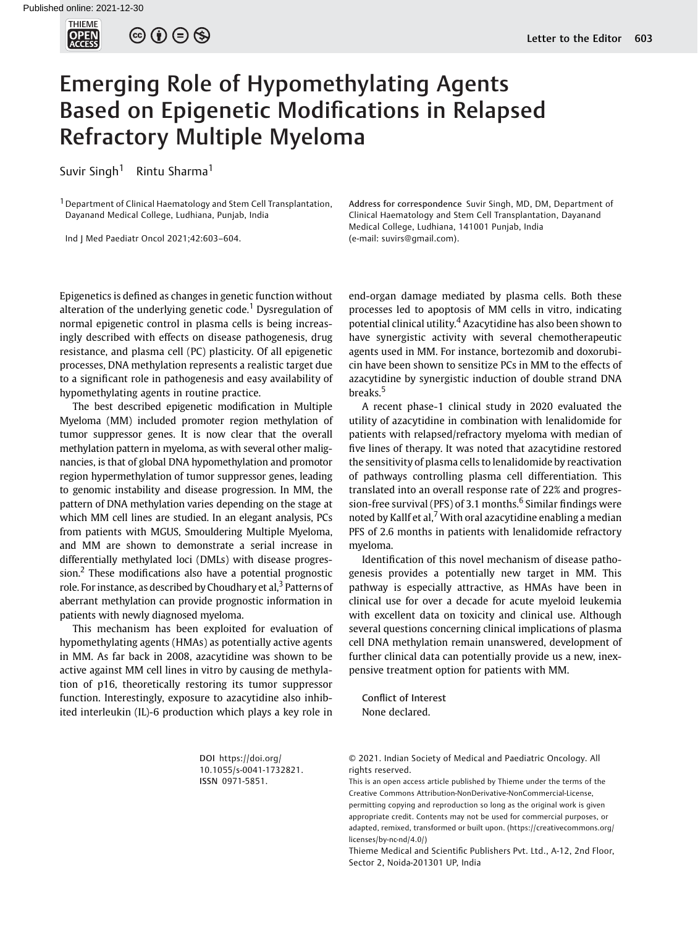

 $\circledcirc \circledcirc \circledcirc$ 

## Emerging Role of Hypomethylating Agents Based on Epigenetic Modifications in Relapsed Refractory Multiple Myeloma

Suvir Singh<sup>1</sup> Rintu Sharma<sup>1</sup>

<sup>1</sup> Department of Clinical Haematology and Stem Cell Transplantation, Dayanand Medical College, Ludhiana, Punjab, India

Ind J Med Paediatr Oncol 2021;42:603–604.

Epigenetics is defined as changes in genetic function without alteration of the underlying genetic code.<sup>1</sup> Dysregulation of normal epigenetic control in plasma cells is being increasingly described with effects on disease pathogenesis, drug resistance, and plasma cell (PC) plasticity. Of all epigenetic processes, DNA methylation represents a realistic target due to a significant role in pathogenesis and easy availability of hypomethylating agents in routine practice.

The best described epigenetic modification in Multiple Myeloma (MM) included promoter region methylation of tumor suppressor genes. It is now clear that the overall methylation pattern in myeloma, as with several other malignancies, is that of global DNA hypomethylation and promotor region hypermethylation of tumor suppressor genes, leading to genomic instability and disease progression. In MM, the pattern of DNA methylation varies depending on the stage at which MM cell lines are studied. In an elegant analysis, PCs from patients with MGUS, Smouldering Multiple Myeloma, and MM are shown to demonstrate a serial increase in differentially methylated loci (DMLs) with disease progression.<sup>2</sup> These modifications also have a potential prognostic role. For instance, as described by Choudhary et al,  $3$  Patterns of aberrant methylation can provide prognostic information in patients with newly diagnosed myeloma.

This mechanism has been exploited for evaluation of hypomethylating agents (HMAs) as potentially active agents in MM. As far back in 2008, azacytidine was shown to be active against MM cell lines in vitro by causing de methylation of p16, theoretically restoring its tumor suppressor function. Interestingly, exposure to azacytidine also inhibited interleukin (IL)-6 production which plays a key role in Address for correspondence Suvir Singh, MD, DM, Department of Clinical Haematology and Stem Cell Transplantation, Dayanand Medical College, Ludhiana, 141001 Punjab, India (e-mail: [suvirs@gmail.com](mailto:suvirs@gmail.com)).

end-organ damage mediated by plasma cells. Both these processes led to apoptosis of MM cells in vitro, indicating potential clinical utility.<sup>4</sup> Azacytidine has also been shown to have synergistic activity with several chemotherapeutic agents used in MM. For instance, bortezomib and doxorubicin have been shown to sensitize PCs in MM to the effects of azacytidine by synergistic induction of double strand DNA breaks.<sup>5</sup>

A recent phase-1 clinical study in 2020 evaluated the utility of azacytidine in combination with lenalidomide for patients with relapsed/refractory myeloma with median of five lines of therapy. It was noted that azacytidine restored the sensitivity of plasma cells to lenalidomide by reactivation of pathways controlling plasma cell differentiation. This translated into an overall response rate of 22% and progression-free survival (PFS) of 3.1 months.<sup>6</sup> Similar findings were noted by Kallf et al, $<sup>7</sup>$  With oral azacytidine enabling a median</sup> PFS of 2.6 months in patients with lenalidomide refractory myeloma.

Identification of this novel mechanism of disease pathogenesis provides a potentially new target in MM. This pathway is especially attractive, as HMAs have been in clinical use for over a decade for acute myeloid leukemia with excellent data on toxicity and clinical use. Although several questions concerning clinical implications of plasma cell DNA methylation remain unanswered, development of further clinical data can potentially provide us a new, inexpensive treatment option for patients with MM.

Conflict of Interest None declared.

DOI [https://doi.org/](https://doi.org/10.1055/s-0041-1732821) [10.1055/s-0041-1732821](https://doi.org/10.1055/s-0041-1732821). ISSN 0971-5851.

© 2021. Indian Society of Medical and Paediatric Oncology. All rights reserved.

This is an open access article published by Thieme under the terms of the Creative Commons Attribution-NonDerivative-NonCommercial-License, permitting copying and reproduction so long as the original work is given appropriate credit. Contents may not be used for commercial purposes, or adapted, remixed, transformed or built upon. (https://creativecommons.org/ licenses/by-nc-nd/4.0/)

Thieme Medical and Scientific Publishers Pvt. Ltd., A-12, 2nd Floor, Sector 2, Noida-201301 UP, India